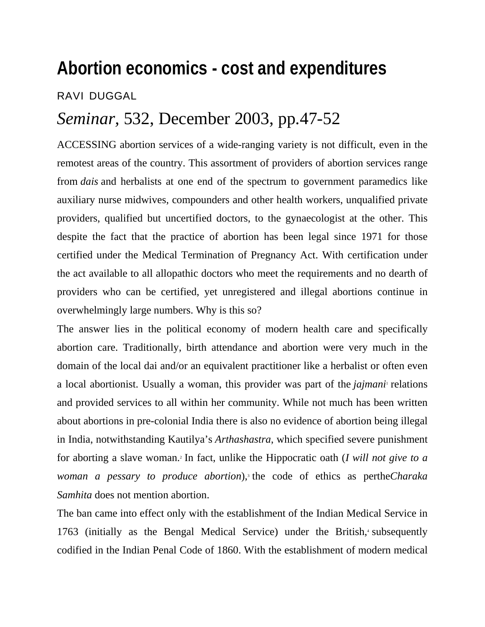## **Abortion economics - cost and expenditures**

RAVI DUGGAL

## *Seminar,* 532, December 2003, pp.47-52

ACCESSING abortion services of a wide-ranging variety is not difficult, even in the remotest areas of the country. This assortment of providers of abortion services range from *dais* and herbalists at one end of the spectrum to government paramedics like auxiliary nurse midwives, compounders and other health workers, unqualified private providers, qualified but uncertified doctors, to the gynaecologist at the other. This despite the fact that the practice of abortion has been legal since 1971 for those certified under the Medical Termination of Pregnancy Act. With certification under the act available to all allopathic doctors who meet the requirements and no dearth of providers who can be certified, yet unregistered and illegal abortions continue in overwhelmingly large numbers. Why is this so?

The answer lies in the political economy of modern health care and specifically abortion care. Traditionally, birth attendance and abortion were very much in the domain of the local dai and/or an equivalent practitioner like a herbalist or often even a local abortionist. Usually a woman, this provider was part of the *jajmani* relations and provided services to all within her community. While not much has been written about abortions in pre-colonial India there is also no evidence of abortion being illegal in India, notwithstanding Kautilya's *Arthashastra*, which specified severe punishment for aborting a slave woman.2 In fact, unlike the Hippocratic oath (*I will not give to a*  woman a pessary to produce abortion),<sup>3</sup> the code of ethics as perthe*Charaka Samhita* does not mention abortion.

The ban came into effect only with the establishment of the Indian Medical Service in 1763 (initially as the Bengal Medical Service) under the British,<sup>4</sup> subsequently codified in the Indian Penal Code of 1860. With the establishment of modern medical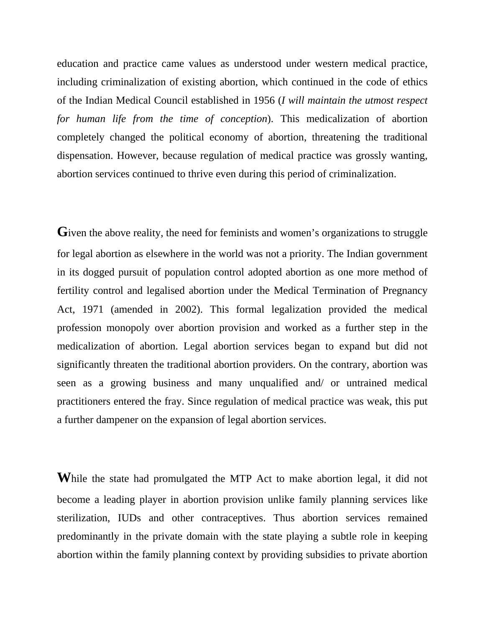education and practice came values as understood under western medical practice, including criminalization of existing abortion, which continued in the code of ethics of the Indian Medical Council established in 1956 (*I will maintain the utmost respect for human life from the time of conception*). This medicalization of abortion completely changed the political economy of abortion, threatening the traditional dispensation. However, because regulation of medical practice was grossly wanting, abortion services continued to thrive even during this period of criminalization.

Given the above reality, the need for feminists and women's organizations to struggle for legal abortion as elsewhere in the world was not a priority. The Indian government in its dogged pursuit of population control adopted abortion as one more method of fertility control and legalised abortion under the Medical Termination of Pregnancy Act, 1971 (amended in 2002). This formal legalization provided the medical profession monopoly over abortion provision and worked as a further step in the medicalization of abortion. Legal abortion services began to expand but did not significantly threaten the traditional abortion providers. On the contrary, abortion was seen as a growing business and many unqualified and/ or untrained medical practitioners entered the fray. Since regulation of medical practice was weak, this put a further dampener on the expansion of legal abortion services.

**W**hile the state had promulgated the MTP Act to make abortion legal, it did not become a leading player in abortion provision unlike family planning services like sterilization, IUDs and other contraceptives. Thus abortion services remained predominantly in the private domain with the state playing a subtle role in keeping abortion within the family planning context by providing subsidies to private abortion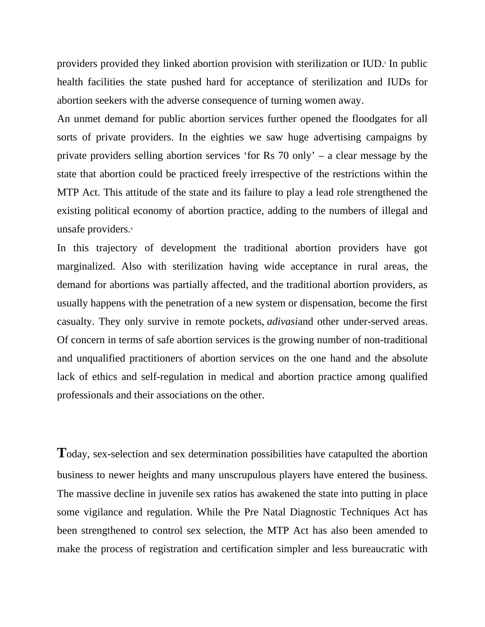providers provided they linked abortion provision with sterilization or IUD.<sup>5</sup> In public health facilities the state pushed hard for acceptance of sterilization and IUDs for abortion seekers with the adverse consequence of turning women away.

An unmet demand for public abortion services further opened the floodgates for all sorts of private providers. In the eighties we saw huge advertising campaigns by private providers selling abortion services 'for Rs 70 only' – a clear message by the state that abortion could be practiced freely irrespective of the restrictions within the MTP Act. This attitude of the state and its failure to play a lead role strengthened the existing political economy of abortion practice, adding to the numbers of illegal and unsafe providers.<sup>6</sup>

In this trajectory of development the traditional abortion providers have got marginalized. Also with sterilization having wide acceptance in rural areas, the demand for abortions was partially affected, and the traditional abortion providers, as usually happens with the penetration of a new system or dispensation, become the first casualty. They only survive in remote pockets, *adivasi*and other under-served areas. Of concern in terms of safe abortion services is the growing number of non-traditional and unqualified practitioners of abortion services on the one hand and the absolute lack of ethics and self-regulation in medical and abortion practice among qualified professionals and their associations on the other.

**T**oday, sex-selection and sex determination possibilities have catapulted the abortion business to newer heights and many unscrupulous players have entered the business. The massive decline in juvenile sex ratios has awakened the state into putting in place some vigilance and regulation. While the Pre Natal Diagnostic Techniques Act has been strengthened to control sex selection, the MTP Act has also been amended to make the process of registration and certification simpler and less bureaucratic with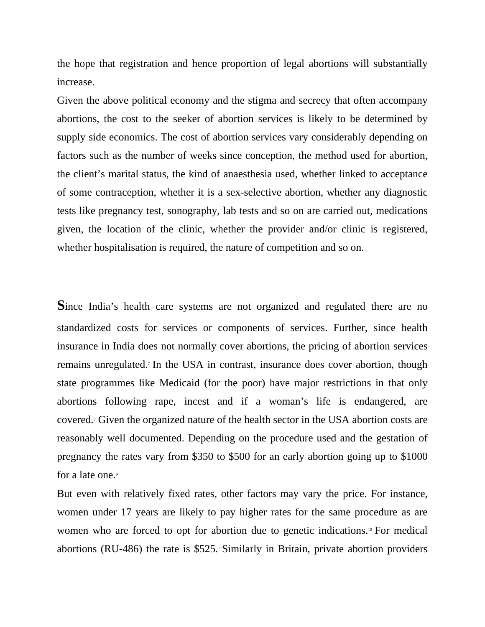the hope that registration and hence proportion of legal abortions will substantially increase.

Given the above political economy and the stigma and secrecy that often accompany abortions, the cost to the seeker of abortion services is likely to be determined by supply side economics. The cost of abortion services vary considerably depending on factors such as the number of weeks since conception, the method used for abortion, the client's marital status, the kind of anaesthesia used, whether linked to acceptance of some contraception, whether it is a sex-selective abortion, whether any diagnostic tests like pregnancy test, sonography, lab tests and so on are carried out, medications given, the location of the clinic, whether the provider and/or clinic is registered, whether hospitalisation is required, the nature of competition and so on.

Since India's health care systems are not organized and regulated there are no standardized costs for services or components of services. Further, since health insurance in India does not normally cover abortions, the pricing of abortion services remains unregulated.<sup>7</sup> In the USA in contrast, insurance does cover abortion, though state programmes like Medicaid (for the poor) have major restrictions in that only abortions following rape, incest and if a woman's life is endangered, are covered.<sup>8</sup> Given the organized nature of the health sector in the USA abortion costs are reasonably well documented. Depending on the procedure used and the gestation of pregnancy the rates vary from \$350 to \$500 for an early abortion going up to \$1000 for a late one.<sup>9</sup>

But even with relatively fixed rates, other factors may vary the price. For instance, women under 17 years are likely to pay higher rates for the same procedure as are women who are forced to opt for abortion due to genetic indications.<sup>10</sup> For medical abortions (RU-486) the rate is \$525. Similarly in Britain, private abortion providers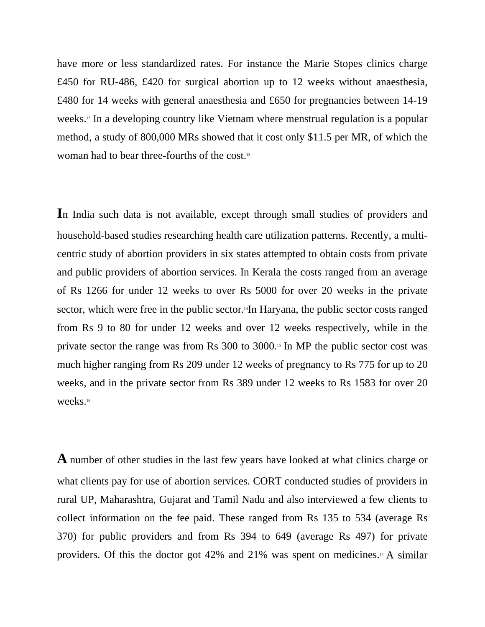have more or less standardized rates. For instance the Marie Stopes clinics charge £450 for RU-486, £420 for surgical abortion up to 12 weeks without anaesthesia, £480 for 14 weeks with general anaesthesia and £650 for pregnancies between 14-19 weeks.<sup>12</sup> In a developing country like Vietnam where menstrual regulation is a popular method, a study of 800,000 MRs showed that it cost only \$11.5 per MR, of which the woman had to bear three-fourths of the cost.13

**I**n India such data is not available, except through small studies of providers and household-based studies researching health care utilization patterns. Recently, a multicentric study of abortion providers in six states attempted to obtain costs from private and public providers of abortion services. In Kerala the costs ranged from an average of Rs 1266 for under 12 weeks to over Rs 5000 for over 20 weeks in the private sector, which were free in the public sector.<sup>14</sup>In Haryana, the public sector costs ranged from Rs 9 to 80 for under 12 weeks and over 12 weeks respectively, while in the private sector the range was from Rs 300 to 3000.15 In MP the public sector cost was much higher ranging from Rs 209 under 12 weeks of pregnancy to Rs 775 for up to 20 weeks, and in the private sector from Rs 389 under 12 weeks to Rs 1583 for over 20 weeks.16

**A** number of other studies in the last few years have looked at what clinics charge or what clients pay for use of abortion services. CORT conducted studies of providers in rural UP, Maharashtra, Gujarat and Tamil Nadu and also interviewed a few clients to collect information on the fee paid. These ranged from Rs 135 to 534 (average Rs 370) for public providers and from Rs 394 to 649 (average Rs 497) for private providers. Of this the doctor got 42% and 21% was spent on medicines.17 A similar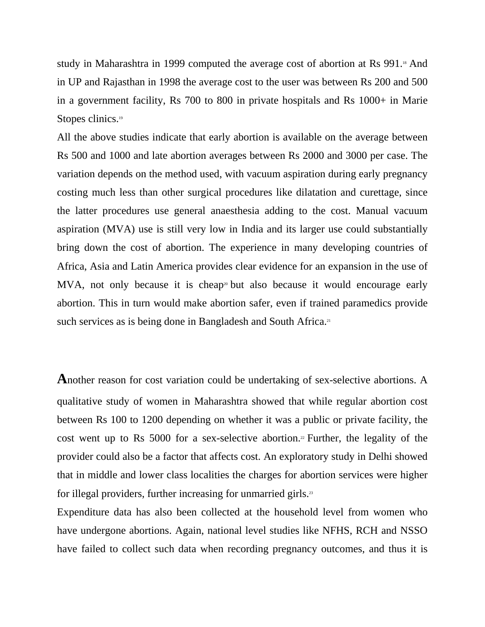study in Maharashtra in 1999 computed the average cost of abortion at Rs 991.<sup>18</sup> And in UP and Rajasthan in 1998 the average cost to the user was between Rs 200 and 500 in a government facility, Rs 700 to 800 in private hospitals and Rs 1000+ in Marie Stopes clinics.<sup>19</sup>

All the above studies indicate that early abortion is available on the average between Rs 500 and 1000 and late abortion averages between Rs 2000 and 3000 per case. The variation depends on the method used, with vacuum aspiration during early pregnancy costing much less than other surgical procedures like dilatation and curettage, since the latter procedures use general anaesthesia adding to the cost. Manual vacuum aspiration (MVA) use is still very low in India and its larger use could substantially bring down the cost of abortion. The experience in many developing countries of Africa, Asia and Latin America provides clear evidence for an expansion in the use of MVA, not only because it is cheap<sup>20</sup> but also because it would encourage early abortion. This in turn would make abortion safer, even if trained paramedics provide such services as is being done in Bangladesh and South Africa.<sup>21</sup>

**A**nother reason for cost variation could be undertaking of sex-selective abortions. A qualitative study of women in Maharashtra showed that while regular abortion cost between Rs 100 to 1200 depending on whether it was a public or private facility, the cost went up to Rs  $5000$  for a sex-selective abortion.<sup>22</sup> Further, the legality of the provider could also be a factor that affects cost. An exploratory study in Delhi showed that in middle and lower class localities the charges for abortion services were higher for illegal providers, further increasing for unmarried girls.<sup>23</sup>

Expenditure data has also been collected at the household level from women who have undergone abortions. Again, national level studies like NFHS, RCH and NSSO have failed to collect such data when recording pregnancy outcomes, and thus it is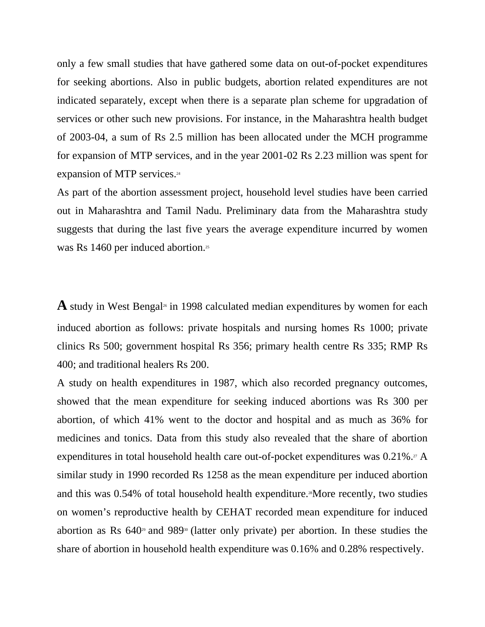only a few small studies that have gathered some data on out-of-pocket expenditures for seeking abortions. Also in public budgets, abortion related expenditures are not indicated separately, except when there is a separate plan scheme for upgradation of services or other such new provisions. For instance, in the Maharashtra health budget of 2003-04, a sum of Rs 2.5 million has been allocated under the MCH programme for expansion of MTP services, and in the year 2001-02 Rs 2.23 million was spent for expansion of MTP services.<sup>24</sup>

As part of the abortion assessment project, household level studies have been carried out in Maharashtra and Tamil Nadu. Preliminary data from the Maharashtra study suggests that during the last five years the average expenditure incurred by women was Rs 1460 per induced abortion.<sup>25</sup>

**A** study in West Bengal<sup>26</sup> in 1998 calculated median expenditures by women for each induced abortion as follows: private hospitals and nursing homes Rs 1000; private clinics Rs 500; government hospital Rs 356; primary health centre Rs 335; RMP Rs 400; and traditional healers Rs 200.

A study on health expenditures in 1987, which also recorded pregnancy outcomes, showed that the mean expenditure for seeking induced abortions was Rs 300 per abortion, of which 41% went to the doctor and hospital and as much as 36% for medicines and tonics. Data from this study also revealed that the share of abortion expenditures in total household health care out-of-pocket expenditures was  $0.21\%$ .<sup>27</sup> A similar study in 1990 recorded Rs 1258 as the mean expenditure per induced abortion and this was  $0.54\%$  of total household health expenditure.<sup>38</sup>More recently, two studies on women's reproductive health by CEHAT recorded mean expenditure for induced abortion as Rs  $640^{\degree}$  and  $989^{\degree}$  (latter only private) per abortion. In these studies the share of abortion in household health expenditure was 0.16% and 0.28% respectively.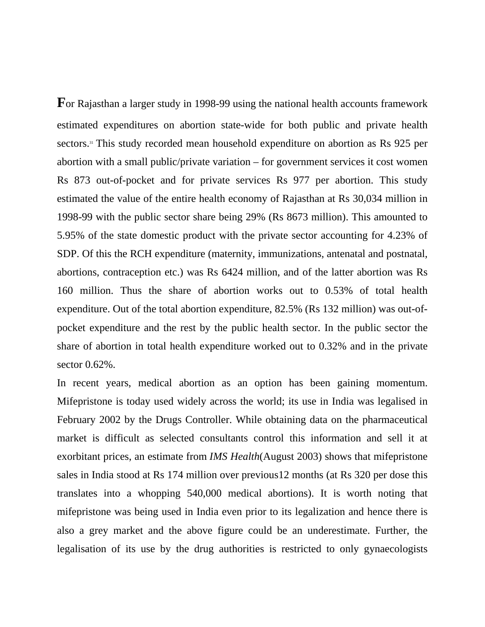**F**or Rajasthan a larger study in 1998-99 using the national health accounts framework estimated expenditures on abortion state-wide for both public and private health sectors.31 This study recorded mean household expenditure on abortion as Rs 925 per abortion with a small public/private variation – for government services it cost women Rs 873 out-of-pocket and for private services Rs 977 per abortion. This study estimated the value of the entire health economy of Rajasthan at Rs 30,034 million in 1998-99 with the public sector share being 29% (Rs 8673 million). This amounted to 5.95% of the state domestic product with the private sector accounting for 4.23% of SDP. Of this the RCH expenditure (maternity, immunizations, antenatal and postnatal, abortions, contraception etc.) was Rs 6424 million, and of the latter abortion was Rs 160 million. Thus the share of abortion works out to 0.53% of total health expenditure. Out of the total abortion expenditure, 82.5% (Rs 132 million) was out-ofpocket expenditure and the rest by the public health sector. In the public sector the share of abortion in total health expenditure worked out to 0.32% and in the private sector 0.62%.

In recent years, medical abortion as an option has been gaining momentum. Mifepristone is today used widely across the world; its use in India was legalised in February 2002 by the Drugs Controller. While obtaining data on the pharmaceutical market is difficult as selected consultants control this information and sell it at exorbitant prices, an estimate from *IMS Health*(August 2003) shows that mifepristone sales in India stood at Rs 174 million over previous12 months (at Rs 320 per dose this translates into a whopping 540,000 medical abortions). It is worth noting that mifepristone was being used in India even prior to its legalization and hence there is also a grey market and the above figure could be an underestimate. Further, the legalisation of its use by the drug authorities is restricted to only gynaecologists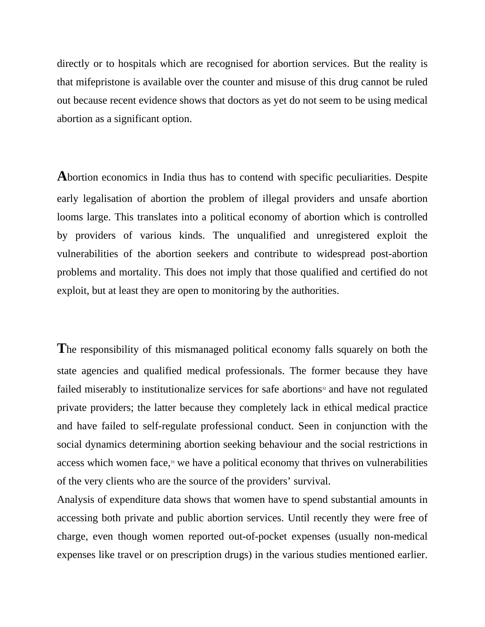directly or to hospitals which are recognised for abortion services. But the reality is that mifepristone is available over the counter and misuse of this drug cannot be ruled out because recent evidence shows that doctors as yet do not seem to be using medical abortion as a significant option.

**A**bortion economics in India thus has to contend with specific peculiarities. Despite early legalisation of abortion the problem of illegal providers and unsafe abortion looms large. This translates into a political economy of abortion which is controlled by providers of various kinds. The unqualified and unregistered exploit the vulnerabilities of the abortion seekers and contribute to widespread post-abortion problems and mortality. This does not imply that those qualified and certified do not exploit, but at least they are open to monitoring by the authorities.

**T**he responsibility of this mismanaged political economy falls squarely on both the state agencies and qualified medical professionals. The former because they have failed miserably to institutionalize services for safe abortions<sup>32</sup> and have not regulated private providers; the latter because they completely lack in ethical medical practice and have failed to self-regulate professional conduct. Seen in conjunction with the social dynamics determining abortion seeking behaviour and the social restrictions in access which women face,<sup>33</sup> we have a political economy that thrives on vulnerabilities of the very clients who are the source of the providers' survival.

Analysis of expenditure data shows that women have to spend substantial amounts in accessing both private and public abortion services. Until recently they were free of charge, even though women reported out-of-pocket expenses (usually non-medical expenses like travel or on prescription drugs) in the various studies mentioned earlier.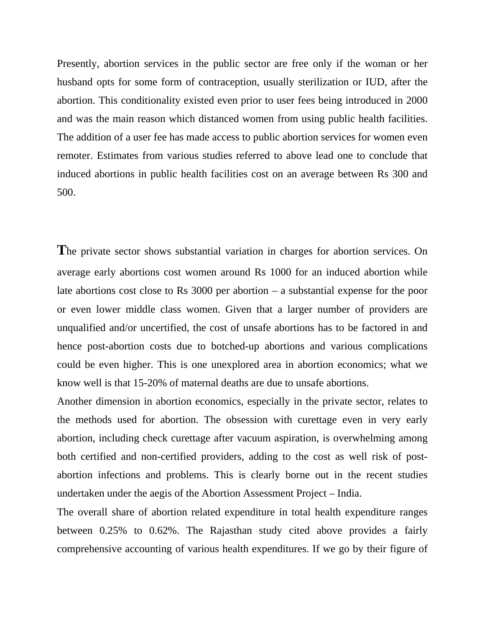Presently, abortion services in the public sector are free only if the woman or her husband opts for some form of contraception, usually sterilization or IUD, after the abortion. This conditionality existed even prior to user fees being introduced in 2000 and was the main reason which distanced women from using public health facilities. The addition of a user fee has made access to public abortion services for women even remoter. Estimates from various studies referred to above lead one to conclude that induced abortions in public health facilities cost on an average between Rs 300 and 500.

The private sector shows substantial variation in charges for abortion services. On average early abortions cost women around Rs 1000 for an induced abortion while late abortions cost close to Rs 3000 per abortion – a substantial expense for the poor or even lower middle class women. Given that a larger number of providers are unqualified and/or uncertified, the cost of unsafe abortions has to be factored in and hence post-abortion costs due to botched-up abortions and various complications could be even higher. This is one unexplored area in abortion economics; what we know well is that 15-20% of maternal deaths are due to unsafe abortions.

Another dimension in abortion economics, especially in the private sector, relates to the methods used for abortion. The obsession with curettage even in very early abortion, including check curettage after vacuum aspiration, is overwhelming among both certified and non-certified providers, adding to the cost as well risk of postabortion infections and problems. This is clearly borne out in the recent studies undertaken under the aegis of the Abortion Assessment Project – India.

The overall share of abortion related expenditure in total health expenditure ranges between 0.25% to 0.62%. The Rajasthan study cited above provides a fairly comprehensive accounting of various health expenditures. If we go by their figure of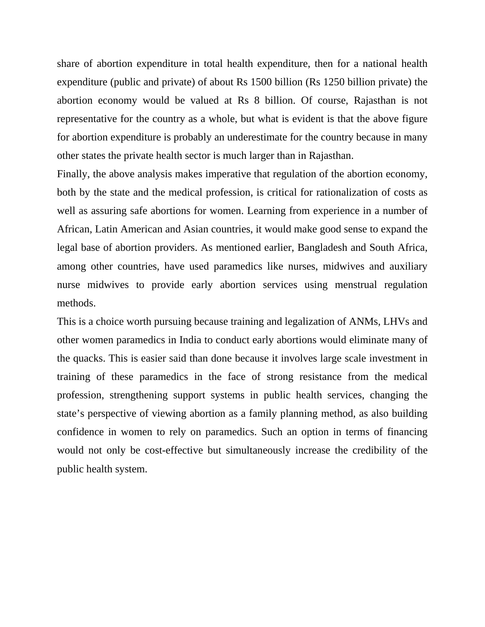share of abortion expenditure in total health expenditure, then for a national health expenditure (public and private) of about Rs 1500 billion (Rs 1250 billion private) the abortion economy would be valued at Rs 8 billion. Of course, Rajasthan is not representative for the country as a whole, but what is evident is that the above figure for abortion expenditure is probably an underestimate for the country because in many other states the private health sector is much larger than in Rajasthan.

Finally, the above analysis makes imperative that regulation of the abortion economy, both by the state and the medical profession, is critical for rationalization of costs as well as assuring safe abortions for women. Learning from experience in a number of African, Latin American and Asian countries, it would make good sense to expand the legal base of abortion providers. As mentioned earlier, Bangladesh and South Africa, among other countries, have used paramedics like nurses, midwives and auxiliary nurse midwives to provide early abortion services using menstrual regulation methods.

This is a choice worth pursuing because training and legalization of ANMs, LHVs and other women paramedics in India to conduct early abortions would eliminate many of the quacks. This is easier said than done because it involves large scale investment in training of these paramedics in the face of strong resistance from the medical profession, strengthening support systems in public health services, changing the state's perspective of viewing abortion as a family planning method, as also building confidence in women to rely on paramedics. Such an option in terms of financing would not only be cost-effective but simultaneously increase the credibility of the public health system.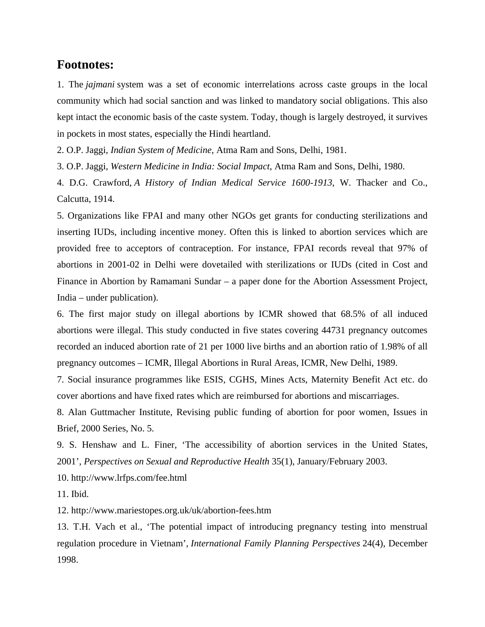## **Footnotes:**

1. The *jajmani* system was a set of economic interrelations across caste groups in the local community which had social sanction and was linked to mandatory social obligations. This also kept intact the economic basis of the caste system. Today, though is largely destroyed, it survives in pockets in most states, especially the Hindi heartland.

2. O.P. Jaggi, *Indian System of Medicine*, Atma Ram and Sons, Delhi, 1981.

3. O.P. Jaggi, *Western Medicine in India: Social Impact*, Atma Ram and Sons, Delhi, 1980.

4. D.G. Crawford, *A History of Indian Medical Service 1600-1913*, W. Thacker and Co., Calcutta, 1914.

5. Organizations like FPAI and many other NGOs get grants for conducting sterilizations and inserting IUDs, including incentive money. Often this is linked to abortion services which are provided free to acceptors of contraception. For instance, FPAI records reveal that 97% of abortions in 2001-02 in Delhi were dovetailed with sterilizations or IUDs (cited in Cost and Finance in Abortion by Ramamani Sundar – a paper done for the Abortion Assessment Project, India – under publication).

6. The first major study on illegal abortions by ICMR showed that 68.5% of all induced abortions were illegal. This study conducted in five states covering 44731 pregnancy outcomes recorded an induced abortion rate of 21 per 1000 live births and an abortion ratio of 1.98% of all pregnancy outcomes – ICMR, Illegal Abortions in Rural Areas, ICMR, New Delhi, 1989.

7. Social insurance programmes like ESIS, CGHS, Mines Acts, Maternity Benefit Act etc. do cover abortions and have fixed rates which are reimbursed for abortions and miscarriages.

8. Alan Guttmacher Institute, Revising public funding of abortion for poor women, Issues in Brief, 2000 Series, No. 5.

9. S. Henshaw and L. Finer, 'The accessibility of abortion services in the United States, 2001', *Perspectives on Sexual and Reproductive Health* 35(1), January/February 2003.

10. http://www.lrfps.com/fee.html

11. Ibid.

12. http://www.mariestopes.org.uk/uk/abortion-fees.htm

13. T.H. Vach et al., 'The potential impact of introducing pregnancy testing into menstrual regulation procedure in Vietnam', *International Family Planning Perspectives* 24(4), December 1998.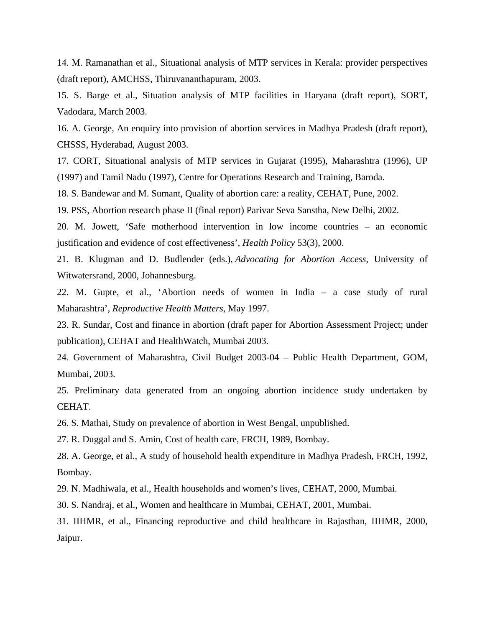14. M. Ramanathan et al., Situational analysis of MTP services in Kerala: provider perspectives (draft report), AMCHSS, Thiruvananthapuram, 2003.

15. S. Barge et al., Situation analysis of MTP facilities in Haryana (draft report), SORT, Vadodara, March 2003.

16. A. George, An enquiry into provision of abortion services in Madhya Pradesh (draft report), CHSSS, Hyderabad, August 2003.

17. CORT, Situational analysis of MTP services in Gujarat (1995), Maharashtra (1996), UP (1997) and Tamil Nadu (1997), Centre for Operations Research and Training, Baroda.

18. S. Bandewar and M. Sumant, Quality of abortion care: a reality, CEHAT, Pune, 2002.

19. PSS, Abortion research phase II (final report) Parivar Seva Sanstha, New Delhi, 2002.

20. M. Jowett, 'Safe motherhood intervention in low income countries – an economic justification and evidence of cost effectiveness', *Health Policy* 53(3), 2000.

21. B. Klugman and D. Budlender (eds.), *Advocating for Abortion Access*, University of Witwatersrand, 2000, Johannesburg.

22. M. Gupte, et al., 'Abortion needs of women in India – a case study of rural Maharashtra', *Reproductive Health Matters*, May 1997.

23. R. Sundar, Cost and finance in abortion (draft paper for Abortion Assessment Project; under publication), CEHAT and HealthWatch, Mumbai 2003.

24. Government of Maharashtra, Civil Budget 2003-04 – Public Health Department, GOM, Mumbai, 2003.

25. Preliminary data generated from an ongoing abortion incidence study undertaken by CEHAT.

26. S. Mathai, Study on prevalence of abortion in West Bengal, unpublished.

27. R. Duggal and S. Amin, Cost of health care, FRCH, 1989, Bombay.

28. A. George, et al., A study of household health expenditure in Madhya Pradesh, FRCH, 1992, Bombay.

29. N. Madhiwala, et al., Health households and women's lives, CEHAT, 2000, Mumbai.

30. S. Nandraj, et al., Women and healthcare in Mumbai, CEHAT, 2001, Mumbai.

31. IIHMR, et al., Financing reproductive and child healthcare in Rajasthan, IIHMR, 2000, Jaipur.